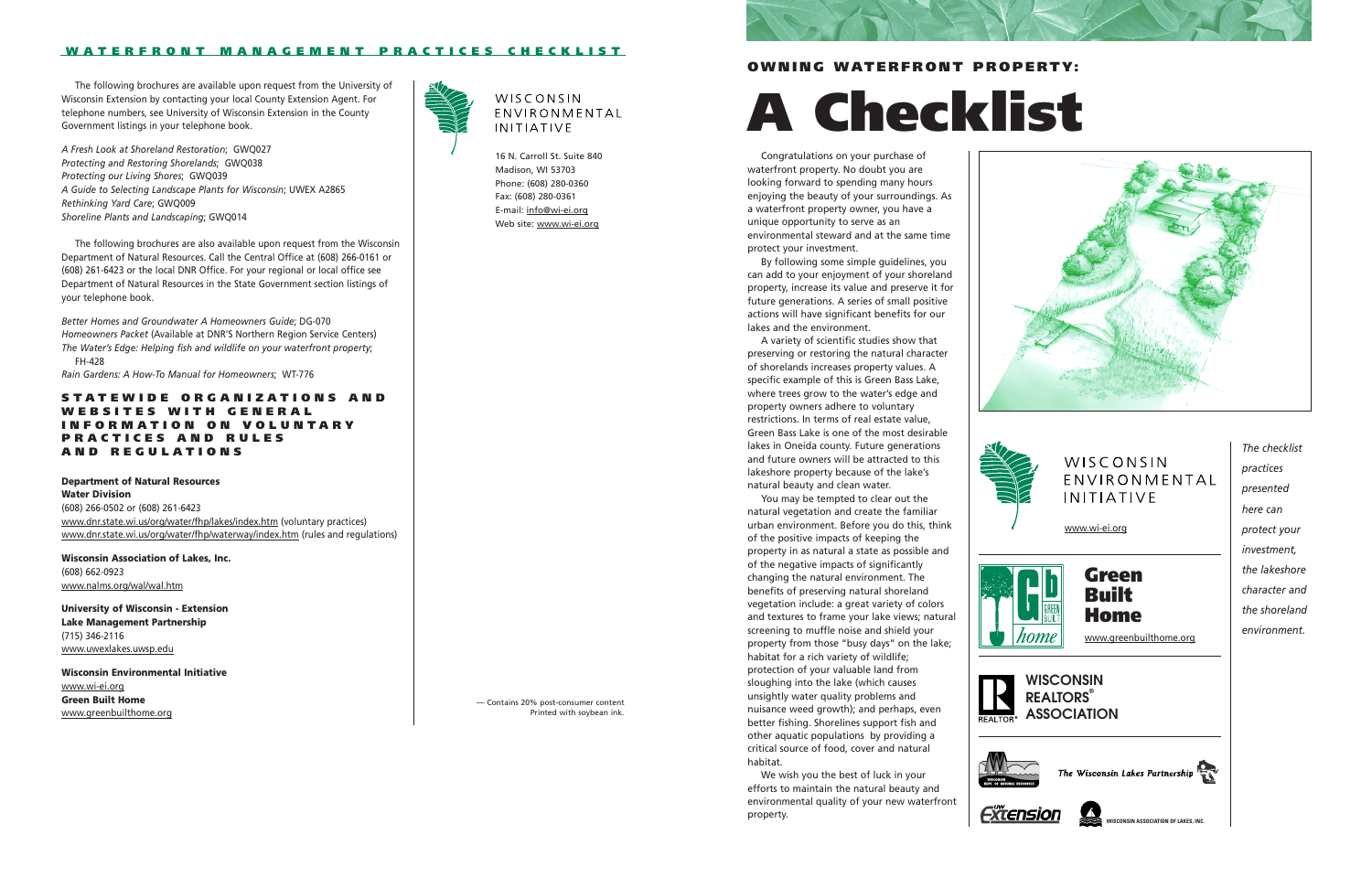16 N. Carroll St. Suite 840 Madison, WI 53703 Phone: (608) 280-0360 Fax: (608) 280-0361 E-mail: info@wi-ei.org Web site: www.wi-ei.org

### **OWNING WATERFRONT PROPERTY:**

# **A Checklist**

— Contains 20% post-consumer content Printed with soybean ink.











# WISCONSIN ENVIRONMENTAL **INITIATIVE**

Congratulations on your purchase of waterfront property. No doubt you are looking forward to spending many hours enjoying the beauty of your surroundings. As a waterfront property owner, you have a unique opportunity to serve as an environmental steward and at the same time protect your investment.

By following some simple guidelines, you can add to your enjoyment of your shoreland property, increase its value and preserve it for future generations. A series of small positive actions will have significant benefits for our lakes and the environment.

A variety of scientific studies show that preserving or restoring the natural character of shorelands increases property values. A specific example of this is Green Bass Lake, where trees grow to the water's edge and property owners adhere to voluntary restrictions. In terms of real estate value, Green Bass Lake is one of the most desirable lakes in Oneida county. Future generations and future owners will be attracted to this lakeshore property because of the lake's natural beauty and clean water.

You may be tempted to clear out the natural vegetation and create the familiar urban environment. Before you do this, think of the positive impacts of keeping the property in as natural a state as possible and of the negative impacts of significantly changing the natural environment. The benefits of preserving natural shoreland vegetation include: a great variety of colors and textures to frame your lake views; natural screening to muffle noise and shield your property from those "busy days" on the lake; habitat for a rich variety of wildlife; protection of your valuable land from sloughing into the lake (which causes unsightly water quality problems and nuisance weed growth); and perhaps, even better fishing. Shorelines support fish and other aquatic populations by providing a critical source of food, cover and natural habitat.

We wish you the best of luck in your efforts to maintain the natural beauty and environmental quality of your new waterfront property.



#### **W A TERFRONT MANAGEMENT PRACTICES CHECKLIST**

The following brochures are available upon request from the University of Wisconsin Extension by contacting your local County Extension Agent. For telephone numbers, see University of Wisconsin Extension in the County Government listings in your telephone book.

*A Fresh Look at Shoreland Restoration*; GWQ027 *Protecting and Restoring Shorelands*; GWQ038

*Protecting our Living Shores*; GWQ039

*A Guide to Selecting Landscape Plants for Wisconsin*; UWEX A2865



# WISCONSIN ENVIRONMENTAL **INITIATIVE**

*Rethinking Yard Care*; GWQ009

*Shoreline Plants and Landscaping*; GWQ014

The following brochures are also available upon request from the Wisconsin

Department of Natural Resources. Call the Central Office at (608) 266-0161 or (608) 261-6423 or the local DNR Office. For your regional or local office see Department of Natural Resources in the State Government section listings of your telephone book.

*Better Homes and Groundwater A Homeowners Guide*; DG-070 *Homeowners Packet* (Available at DNR'S Northern Region Service Centers) *The Water's Edge: Helping fish and wildlife on your waterfront property*; FH-428

*Rain Gardens: A How-To Manual for Homeowners*; WT-776

### **STATEWIDE ORGANIZATIONS AND WEBSITES WITH GENERAL INFORMATION ON VOLUNTARY PRACTICES AND RULES AND REGULATIONS**

**Department of Natural Resources Water Division**  (608) 266-0502 or (608) 261-6423 www.dnr.state.wi.us/org/water/fhp/lakes/index.htm (voluntary practices) www.dnr.state.wi.us/org/water/fhp/waterway/index.htm (rules and regulations)

**Wisconsin Association of Lakes, Inc.** (608) 662-0923 www.nalms.org/wal/wal.htm

**University of Wisconsin - Extension Lake Management Partnership** (715) 346-2116 www.uwexlakes.uwsp.edu

**Wisconsin Environmental Initiative**  www.wi-ei.org **Green Built Home** www.greenbuilthome.org

**WISCONSIN ASSOCIATION OF LAKES, INC.**

# **WISCONSIN REALTORS® ASSOCIATION**









*The checklist practices presented here can protect your investment, the lakeshore character and the shoreland environment.*

www.greenbuilthome.org



www.wi-ei.org



# **Green Built Home**